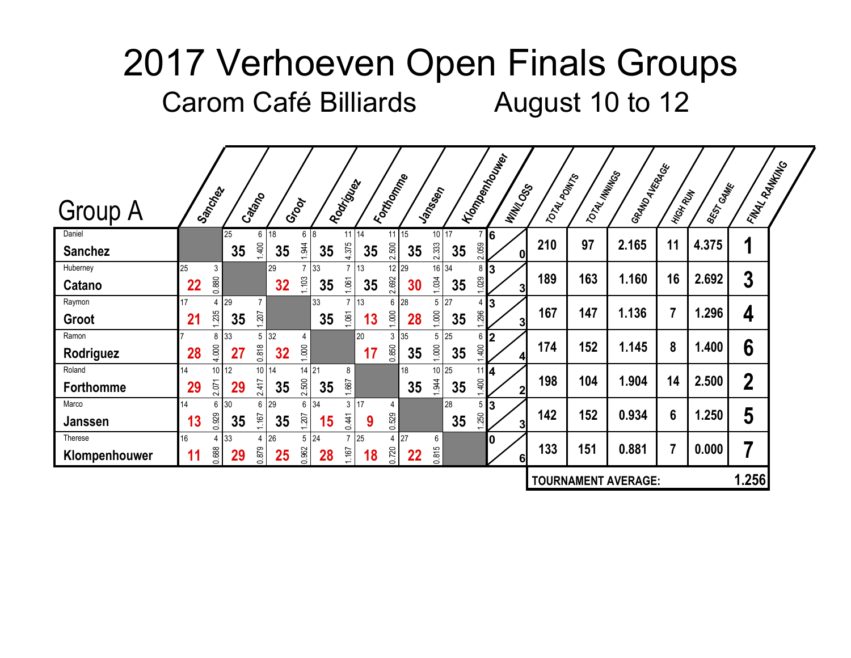|                            | Sanches  |                        | Cattano |                         |                         |          | Rodrigoes                  |          | Forthomme                  |          | Janneron       |          |              | <b>I Tompenhouver</b><br><b>WINTOOSS</b> | TOTAL POINTS | TOTAL MINITOS | I GRAND<br>AVERALES        | HIGH RUN | <b>BEST CAME</b> | <b>\FINAL</b> RANKALG |  |
|----------------------------|----------|------------------------|---------|-------------------------|-------------------------|----------|----------------------------|----------|----------------------------|----------|----------------|----------|--------------|------------------------------------------|--------------|---------------|----------------------------|----------|------------------|-----------------------|--|
| <b>Group A</b>             |          |                        |         |                         | Groot                   |          |                            |          |                            |          |                |          |              |                                          |              |               |                            |          |                  |                       |  |
| Daniel<br><b>Sanchez</b>   |          | 25<br>35               | 1,400   | $6 \mid 18$<br>35       | 6 8<br>1.944            | 35       | $11$ 14<br>4.375           | 35       | $11$ 15<br>2.500           | 35       | 10 17<br>2.333 | 35       | 7 6<br>2.059 | 0                                        | 210          | 97            | 2.165                      | 11       | 4.375            | 1                     |  |
| Huberney<br>Catano         | 25<br>22 | 3<br>0.880             |         | 29<br>32                | $\overline{7}$<br>1,103 | 33<br>35 | $7 \mid 13$<br>1.061       | 35       | 12 29<br>2.692             | 30       | 16 34<br>1.034 | 35       | 8<br>1.029   | 3<br>31                                  | 189          | 163           | 1.160                      | 16       | 2.692            | 3                     |  |
| Raymon<br>Groot            | 17<br>21 | 29<br>4<br>1.235<br>35 | 207     |                         |                         | 33<br>35 | 1.061                      | 13<br>13 | 6 28<br>1.000              | 28       | 5<br>1.000     | 27<br>35 | 4<br>1.296   | 3<br>3                                   | 167          | 147           | 1.136                      |          | 1.296            | 4                     |  |
| Ramon<br>Rodriguez         | 28       | 33<br>8<br>4.000<br>27 | 0.818   | $5 \overline{32}$<br>32 | 4<br>1.000              |          |                            | 20<br>17 | $3 \overline{35}$<br>0.850 | 35       | 5<br>1.000     | 25<br>35 | 6<br>400     | $\overline{2}$<br>$\overline{4}$         | 174          | 152           | 1.145                      | 8        | 1.400            | 6                     |  |
| Roland<br><b>Forthomme</b> | 14<br>29 | 10 12<br>2.071<br>29   | 2.417   | 10 14<br>35             | 14 21<br>2.500          | 35       | 8<br>1.667                 |          |                            | 18<br>35 | 10 25<br>1.944 | 35       | 11<br>1,400  | 14<br>$\mathbf{2}$                       | 198          | 104           | 1.904                      | 14       | 2.500            | $\boldsymbol{2}$      |  |
| Marco<br>Janssen           | 14<br>13 | 30<br>6<br>0.929<br>35 | 1.167   | 6 29<br>35              | 6<br>1.207              | 34<br>15 | 3<br>0.441                 | 17<br>9  | 4<br>0.529                 |          |                | 28<br>35 | 5<br>1.250   | 3<br>3                                   | 142          | 152           | 0.934                      | 6        | 1.250            | 5                     |  |
| Therese<br>Klompenhouwer   | 16<br>11 | 33<br>4<br>0.688<br>29 | 0.879   | 4 26<br>25              | 5<br>0.962              | 24<br>28 | $7 \overline{25}$<br>1.167 | 18       | 4 27<br>0.720              | 22       | 6<br>0.815     |          |              | 0<br>6 <sup>1</sup>                      | 133          | 151           | 0.881                      |          | 0.000            | 7                     |  |
|                            |          |                        |         |                         |                         |          |                            |          |                            |          |                |          |              |                                          |              |               | <b>TOURNAMENT AVERAGE:</b> |          |                  | 1.256                 |  |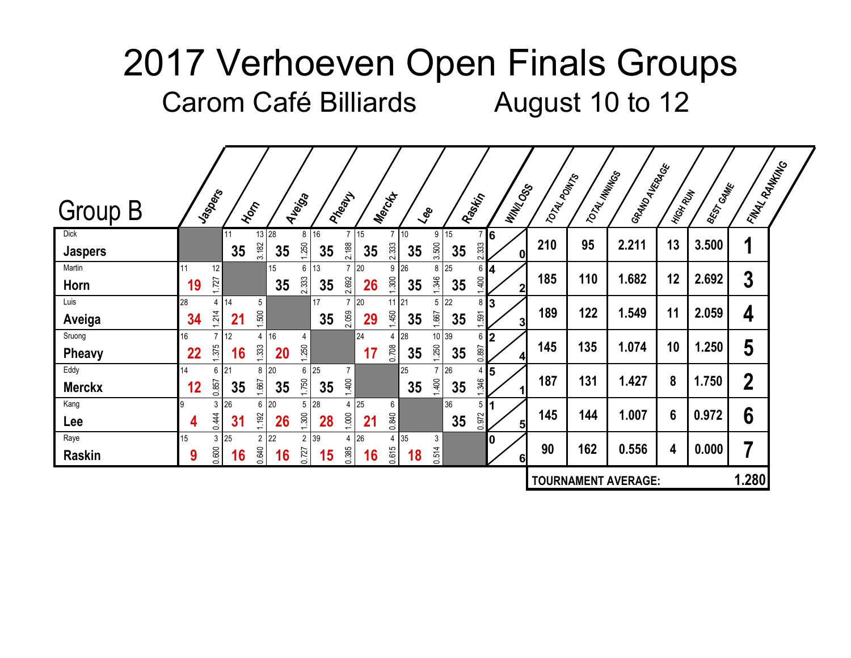|                               |          |                                     |                            |          |                                     |            |                   |                |                  |                |          |                         |                 |              |               | I GRAND<br>AVERALES        |                |                  | <b>\RINAL RANKING</b> |  |
|-------------------------------|----------|-------------------------------------|----------------------------|----------|-------------------------------------|------------|-------------------|----------------|------------------|----------------|----------|-------------------------|-----------------|--------------|---------------|----------------------------|----------------|------------------|-----------------------|--|
| <b>Group B</b>                | Jaspers  |                                     | Hom                        | Auerica  |                                     | PARALLY    |                   | Mercyt         | $\zeta_{\rm ee}$ |                | Raskij   |                         | <b>WINTOOSS</b> | TOTAL POINTS | TOTAL MINITOS |                            | HIGH RUN       | <b>BEST GAME</b> |                       |  |
| <b>Dick</b><br><b>Jaspers</b> |          | 11<br>35                            | 13 28<br>3.182             | 35       | 8 16<br>1,250<br>35                 | 2.188      | $7 \mid 15$<br>35 | 2.333          | 10<br>35         | 9<br>3.500     | 15<br>35 | 7 6<br>2.333            | $\mathbf{0}$    | 210          | 95            | 2.211                      | 13             | 3.500            | 1                     |  |
| Martin<br>Horn                | 19       | 12<br>1.727                         |                            | 15<br>35 | 6<br>13<br>2.333<br>35              | 2.692      | 7 20<br>26        | 9 26<br>1.300  | 35               | 8<br>1.346     | 25<br>35 | $6 \vert 4$<br>1.400    | 2 <sub>l</sub>  | 185          | 110           | 1.682                      | 12             | 2.692            | $\boldsymbol{3}$      |  |
| Luis<br>Aveiga                | 28<br>34 | 14<br>4<br>1.214<br>21              | $5\phantom{.0}$<br>1.500   |          | 17<br>35                            | 2.059      | 20<br>29          | 11 21<br>1.450 | 35               | 5<br>1.667     | 22<br>35 | 81<br>l3<br>1.591       | 3               | 189          | 122           | 1.549                      | 11             | 2.059            | 4                     |  |
| Sruong<br><b>Pheavy</b>       | 16<br>22 | 12<br>$\overline{7}$<br>1.375<br>16 | $\overline{4}$<br>1.333    | 16<br>20 | $\overline{4}$<br>1.250             |            | 24<br>17          | 4 28<br>0.708  | 35               | 10 39<br>1.250 | 35       | $6 \,$  2<br>0.897      | $\overline{4}$  | 145          | 135           | 1.074                      | 10             | 1.250            | 5                     |  |
| Eddy<br><b>Merckx</b>         | 14<br>12 | 21<br>6<br>0.857<br>35              | 8 20<br>1.667              | 35       | 6<br>25<br>1.750<br>35              | 7<br>1,400 |                   |                | 25<br>35         | 1,400          | 26<br>35 | 5<br>4<br>1.346         |                 | 187          | 131           | 1.427                      | 8              | 1.750            | $\overline{2}$        |  |
| Kang<br>Lee                   | 4        | 26<br>3<br>0.444<br>31              | 6 20<br>1.192              | 26       | 5 28<br>1.300<br>28                 | 4<br>1.000 | 25<br>21          | 6<br>0.840     |                  |                | 36<br>35 | 5 <sub>1</sub><br>0.972 | 5               | 145          | 144           | 1.007                      | $6\phantom{1}$ | 0.972            | $6\phantom{1}6$       |  |
| Raye<br><b>Raskin</b>         | 15<br>9  | 3<br>25<br>0.600<br>16              | $2 \overline{22}$<br>0.640 | 16       | 39<br>$\overline{2}$<br>0.727<br>15 | 4<br>0.385 | 26<br>16          | 4 35<br>0.615  | 18               | 3<br>0.514     |          | 10                      | 6 <sup>1</sup>  | 90           | 162           | 0.556                      | 4              | 0.000            | 7                     |  |
|                               |          |                                     |                            |          |                                     |            |                   |                |                  |                |          |                         |                 |              |               | <b>TOURNAMENT AVERAGE:</b> |                |                  | 1.280                 |  |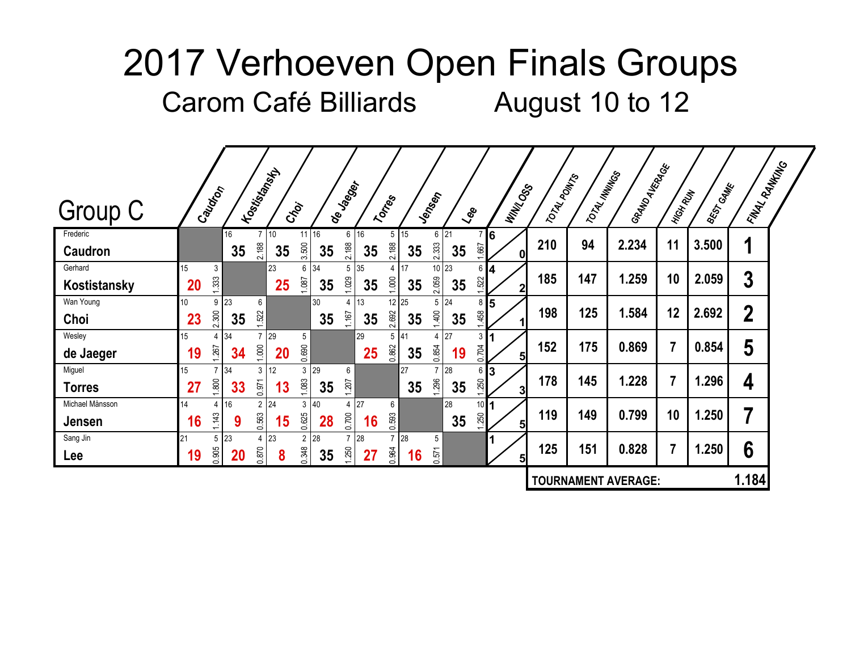|                                  |          |                                     | I Tosicial Maps               |                  |                                         |                          |          |                                  |                         |                                  |                         |                | TOTAL POINTS | TOTAL MINITOS | I GRAND AVERAGE            |                |                  | <b>\RINAL RANKING</b> |  |
|----------------------------------|----------|-------------------------------------|-------------------------------|------------------|-----------------------------------------|--------------------------|----------|----------------------------------|-------------------------|----------------------------------|-------------------------|----------------|--------------|---------------|----------------------------|----------------|------------------|-----------------------|--|
| Group C                          | Caudion  |                                     |                               | Ctoi             |                                         | de Jagoer                | Tortes   |                                  | Jensen                  | $\zeta_{\rm ee}$                 |                         | <b>WINKOSS</b> |              |               |                            | HIGH RUN       | <b>BEST GAME</b> |                       |  |
| Frederic<br><b>Caudron</b>       |          | 16<br>35                            | 10<br>2.188                   | 3.500<br>35      | $11 \overline{\smash{\big)}\ 16}$<br>35 | $6 \mid 16$<br>2.188     | 35       | $5 \mid 15$<br>2.188<br>35       | 2.333                   | $6 \overline{\smash{)}21}$<br>35 | 7 6<br>1.667            | 0              | 210          | 94            | 2.234                      | 11             | 3.500            | 1                     |  |
| Gerhard<br>Kostistansky          | 15<br>20 | 3<br>1.333                          | 23                            | 6<br>1.087<br>25 | 34<br>35                                | 5 35<br>1.029            | 35       | 4 17<br>1.000<br>35              | 2.059                   | 10 23<br>35                      | $6 \vert 4$<br>1.522    | $\mathbf{2}$   | 185          | 147           | 1.259                      | 10             | 2.059            | 3                     |  |
| Wan Young<br>Choi                | 10<br>23 | 23<br>9<br>2.300<br>35              | 6<br>1.522                    |                  | 30<br>35                                | 1.167                    | 13<br>35 | 12 25<br>2.692<br>35             | 5<br>1,400              | 24<br>35                         | $8\,$ 5<br>1,458        |                | 198          | 125           | 1.584                      | 12             | 2.692            | $\boldsymbol{2}$      |  |
| Wesley<br>de Jaeger              | 15<br>19 | 34<br>4<br>1.267<br>34              | 129<br>1.000                  | 5<br>0.690<br>20 |                                         |                          | 29<br>25 | $5 \overline{41}$<br>0.862<br>35 | 4<br>0.854              | 27<br>19                         | 3 <sup>1</sup><br>0.704 | 5 <sub>l</sub> | 152          | 175           | 0.869                      | $\overline{7}$ | 0.854            | 5                     |  |
| Miguel<br><b>Torres</b>          | 15<br>27 | 34<br>$\overline{7}$<br>1.800<br>33 | 12<br>3 <sup>1</sup><br>0.971 | 1.083<br>13      | $3 \mid 29$<br>35                       | 6<br>1.207               |          | 27<br>35                         | $\overline{7}$<br>1.296 | 28<br>35                         | 6 I<br>3<br>1,250       | 3              | 178          | 145           | 1.228                      |                | 1.296            | 4                     |  |
| Michael Månsson<br><b>Jensen</b> | 14<br>16 | 16<br>4<br>1.143<br>9               | $2 \overline{24}$<br>0.563    | 3<br>0.625<br>15 | 40<br>28                                | 4<br>0.700               | 27<br>16 | 6<br>0.593                       |                         | 28<br>35                         | $10$<br>1.250           | 5 <sub>l</sub> | 119          | 149           | 0.799                      | 10             | 1.250            | 7                     |  |
| Sang Jin<br>Lee                  | 21<br>19 | 23<br>5<br>0.905<br><b>20</b>       | 4 23<br>0.870                 | 2<br>0.348<br>8  | 28<br>35                                | 7 <sup>28</sup><br>1.250 | 27       | 28<br>0.964<br>16                | 5<br>0.571              |                                  |                         | 5 <sub>l</sub> | 125          | 151           | 0.828                      |                | 1.250            | 6                     |  |
|                                  |          |                                     |                               |                  |                                         |                          |          |                                  |                         |                                  |                         |                |              |               | <b>TOURNAMENT AVERAGE:</b> |                |                  | 1.184                 |  |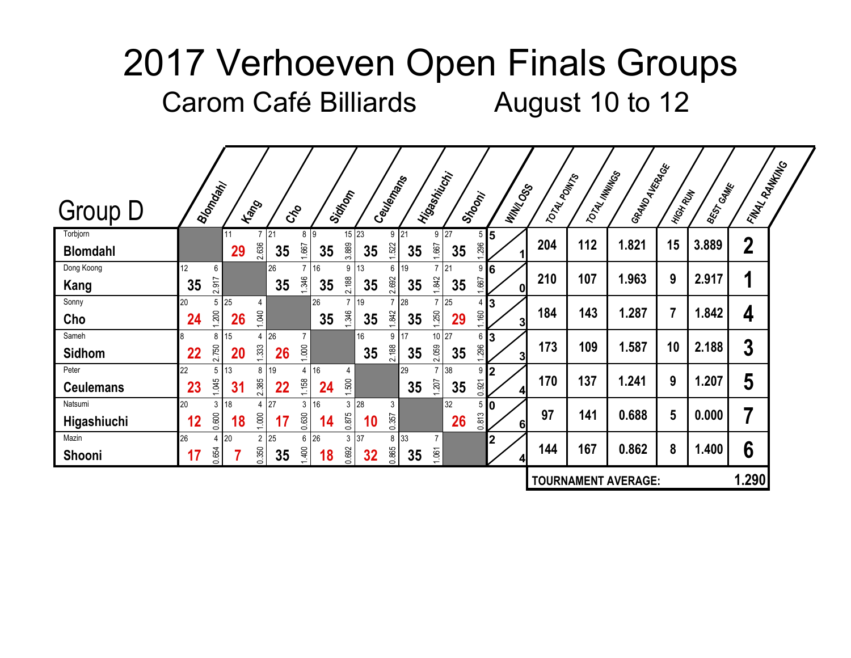| <b>Group D</b>                |          | Biomatin                |          | <b>Hang</b>             | $c_{\rm s}^2$ |                         |          | Sidnom                  |                         | Ceuremans               |                 | Hijashijaki             |                 | Stroom;                  | <b>WINTOOSS</b>               | TOTAL POINTS | TOTAL MININGS | I GRAND<br>AVERALES        | HIGH RUN        | <b>BEST CAME</b> | <b>\FINAL</b> RANKALG |  |
|-------------------------------|----------|-------------------------|----------|-------------------------|---------------|-------------------------|----------|-------------------------|-------------------------|-------------------------|-----------------|-------------------------|-----------------|--------------------------|-------------------------------|--------------|---------------|----------------------------|-----------------|------------------|-----------------------|--|
| Torbjorn                      |          |                         | 11       |                         | 21            | 89                      |          |                         | $15$ 23                 |                         | 9 <sup>21</sup> |                         | 9 <sup>27</sup> | $5\vert 5$<br>296        |                               | 204          | 112           | 1.821                      | 15              | 3.889            | $\boldsymbol{2}$      |  |
| <b>Blomdahl</b><br>Dong Koong | 12       | 6                       | 29       | 2.636                   | 35<br>26      | 1.667<br>$\overline{7}$ | 35<br>16 | 3.889<br>9              | 35<br>13                | 1.522<br>6 <sup>1</sup> | 35<br>19        | 1.667<br>$\overline{7}$ | 35<br>21        | $9 \,$ 6                 |                               |              |               |                            |                 |                  |                       |  |
| Kang                          | 35       | 2.917                   |          |                         | 35            | 1.346                   | 35       | 2.188                   | 35                      | 2.692                   | 35              | 1.842                   | 35              | 1.667                    | 0l                            | 210          | 107           | 1.963                      | 9               | 2.917            | 1                     |  |
| Sonny<br>Cho                  | 20<br>24 | 5<br>1,200              | 25<br>26 | 4<br>1.040              |               |                         | 26<br>35 | $\overline{7}$<br>1.346 | 19<br>35                | 1.842                   | 7 28<br>35      | $\overline{7}$<br>1,250 | 25<br>29        | 4 I<br>1.160             | 13<br>$\overline{\mathbf{3}}$ | 184          | 143           | 1.287                      | 7               | 1.842            | 4                     |  |
| Sameh                         |          | 8                       | 15       | $4 \overline{26}$       |               | $\overline{7}$          |          |                         | 16                      |                         | 9 17            |                         | 10 27           | $6 \vert 3$              |                               | 173          | 109           | 1.587                      | 10              | 2.188            | 3                     |  |
| <b>Sidhom</b><br>Peter        | 22<br>22 | 2.750<br>5              | 20<br>13 | 1.333<br>8 <sup>1</sup> | 26<br>19      | 1.000<br>$\overline{4}$ | 16       | 4                       | 35                      | 2.188                   | 35<br>29        | 2.059<br>$\overline{7}$ | 35<br>38        | .296<br>9 <sub>l</sub>   | 3<br>12                       |              |               |                            |                 |                  |                       |  |
| <b>Ceulemans</b>              | 23       | 1.045                   | 31       | 2.385                   | 22            | 1.158                   | 24       | 1.500                   |                         |                         | 35              | 1.207                   | 35              | 0.921                    | $\overline{\mathbf{A}}$       | 170          | 137           | 1.241                      | 9               | 1.207            | 5                     |  |
| Natsumi<br>Higashiuchi        | 20<br>12 | 3<br>0.600              | 18<br>18 | 4 27<br>1.000           | 17            | 3<br>0.630              | 16<br>14 | 3<br>0.875              | 28<br>10                | 3<br>0.357              |                 |                         | 32<br>26        | 5 <sub>10</sub><br>0.813 | 6 <sup>1</sup>                | 97           | 141           | 0.688                      | $5\phantom{.0}$ | 0.000            | 7                     |  |
| Mazin<br>Shooni               | 26       | $\overline{4}$<br>0.654 | 20       | 2 25<br>0.350           | 35            | 6<br>1,400              | 26<br>18 | 0.692                   | $3 \overline{37}$<br>32 | 0.865                   | 8 33<br>35      | 1.061                   |                 |                          | 2<br>4                        | 144          | 167           | 0.862                      | 8               | 1.400            | 6                     |  |
|                               |          |                         |          |                         |               |                         |          |                         |                         |                         |                 |                         |                 |                          |                               |              |               | <b>TOURNAMENT AVERAGE:</b> |                 |                  | 1.290                 |  |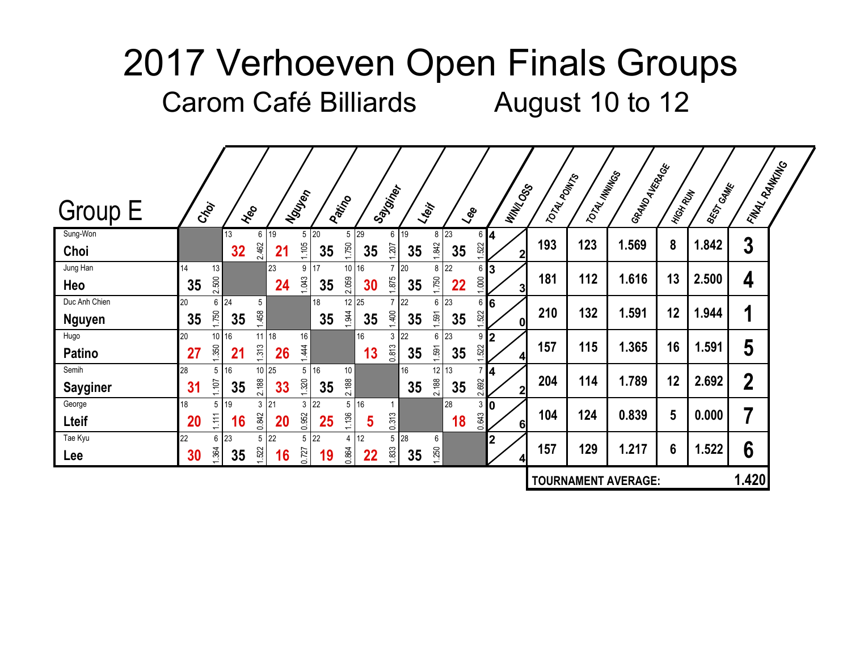| <b>Group E</b>  | Croi     |             | Heo                              |           | Nguyen           | Patrico |                   |    | Say <sub>giner</sub>       |    | Lteif      | $\zeta_{\rm ee}$ |             | <b>WINTOOSS</b>     | TOTAL POINTS | TOTAL MINITOS | I GRAND AVERAGE            | HIGH RUN        | BEST CAME | <b>LANAL RANKING</b>    |  |
|-----------------|----------|-------------|----------------------------------|-----------|------------------|---------|-------------------|----|----------------------------|----|------------|------------------|-------------|---------------------|--------------|---------------|----------------------------|-----------------|-----------|-------------------------|--|
| Sung-Won        |          | 13          | 6 19                             |           | $5\overline{20}$ |         | $5 \overline{29}$ |    | 6 19                       |    | 8 23       |                  | $6 \vert 4$ |                     | 193          | 123           | 1.569                      | 8               | 1.842     | $\boldsymbol{3}$        |  |
| Choi            |          | 32          | 2.462                            | 21        | 1,105            | 35      | 1.750             | 35 | 1.207                      | 35 | 1.842      | 35               | 1.522       | $\mathbf{2}$        |              |               |                            |                 |           |                         |  |
| Jung Han<br>Heo | 14<br>35 | 13<br>2.500 |                                  | 23<br>24  | 17<br>9<br>1.043 | 35      | 10 16<br>2.059    | 30 | 20<br>$7^{\circ}$<br>1.875 | 35 | 8<br>1.750 | 22<br>22         | 6<br>1.000  | 3<br>3 <sup>1</sup> | 181          | 112           | 1.616                      | 13              | 2.500     | 4                       |  |
| Duc Anh Chien   | 20       | 24<br>6     | $5\phantom{.0}$                  |           | 18               |         | 12 25             |    | 22                         |    | 6          | 23               | 6           | 16                  |              |               |                            |                 |           |                         |  |
| <b>Nguyen</b>   | 35       | 1.750<br>35 | 1,458                            |           |                  | 35      | 1.944             | 35 | 1,400                      | 35 | 1.591      | 35               | 1.522       | 0                   | 210          | 132           | 1.591                      | 12              | 1.944     | 1                       |  |
| Hugo            | 20       | 16<br>10    | $11$ 18                          |           | 16               |         | 16                |    | 3 <sup>22</sup>            |    | 6          | 23               | 9           | 12                  |              |               |                            |                 |           |                         |  |
| <b>Patino</b>   | 27       | 1.350<br>21 | 1.313                            | <b>26</b> | 1.444            |         |                   | 13 | 0.813                      | 35 | 1.591      | 35               | 522         | $\mathbf{4}$        | 157          | 115           | 1.365                      | 16              | 1.591     | 5                       |  |
| Semih           | 28       | 16<br>5     | 10 25                            |           | 16<br>5          |         | 10                |    |                            | 16 | 12 13      |                  | 7 4         |                     | 204          | 114           | 1.789                      | 12              | 2.692     | $\boldsymbol{2}$        |  |
| <b>Sayginer</b> | 31       | 1.107<br>35 | 2.188                            | 33        | 1.320            | 35      | 2.188             |    |                            | 35 | 2.188      | 35               | 2.692       | $\mathbf{2}$        |              |               |                            |                 |           |                         |  |
| George          | 18       | 19<br>5     | $3 \overline{21}$                |           | 22<br>3          |         | 16<br>5           |    |                            |    |            | 28               | 3           | l0                  | 104          | 124           | 0.839                      | $5\phantom{.0}$ | 0.000     | $\overline{\mathbf{7}}$ |  |
| Lteif           | 20       | 1.111<br>16 | 0.842                            | <b>20</b> | 0.952            | 25      | 1.136             | 5  | 0.313                      |    |            | 18               | 0.643       | 6 <sup>1</sup>      |              |               |                            |                 |           |                         |  |
| Tae Kyu         | 22       | 23<br>6     | $5 \overline{\smash{\big)}\ 22}$ |           | 22<br>5          |         | 12<br>4           |    | 5 28                       |    | 6          |                  |             | $\mathbf{2}$        | 157          | 129           | 1.217                      | 6               | 1.522     | 6                       |  |
| Lee             | 30       | 1.364<br>35 | 1.522                            | 16        | 0.727            | 19      | 0.864             | 22 | 1.833                      | 35 | 1.250      |                  |             | $\mathbf{4}$        |              |               |                            |                 |           |                         |  |
|                 |          |             |                                  |           |                  |         |                   |    |                            |    |            |                  |             |                     |              |               | <b>TOURNAMENT AVERAGE:</b> |                 |           | 1.420                   |  |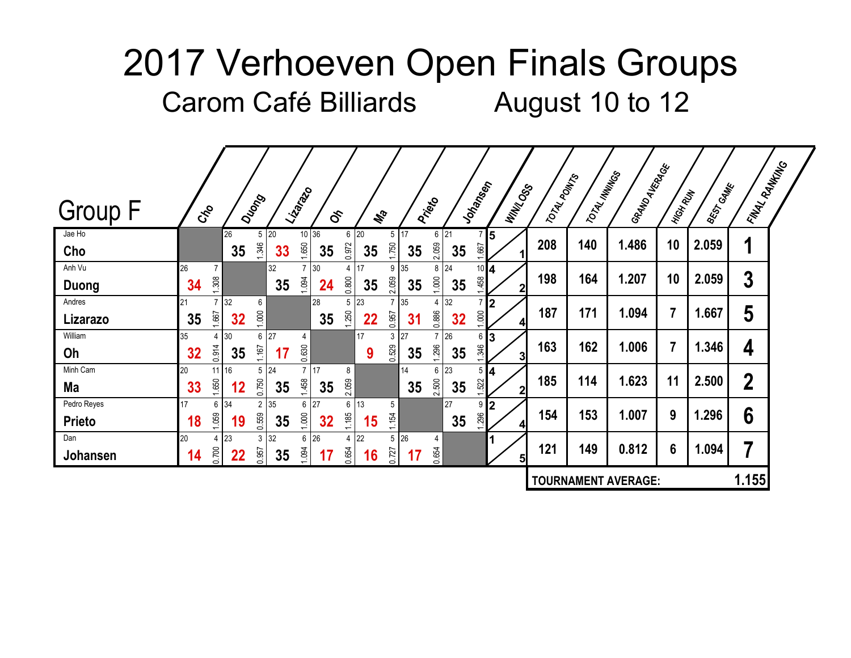| <b>Group F</b>               | $c_{\rm s}^2$ |                         |                 | Dugong                     |          | Lization                       | $\delta$ |               |          | Ma                         |          | <b>Pricet</b>              |          | Jonames                 | <b>WINTOOSS</b>                | TOTAL POINTS | TOTAL MINITOS | I GRAND<br>MANKRAGE        | HIGH RUN       | <b>BEST GAME</b> | <b>LANAL RANKING</b> |  |
|------------------------------|---------------|-------------------------|-----------------|----------------------------|----------|--------------------------------|----------|---------------|----------|----------------------------|----------|----------------------------|----------|-------------------------|--------------------------------|--------------|---------------|----------------------------|----------------|------------------|----------------------|--|
| Jae Ho<br>Cho                |               |                         | 26<br>35        | $5\overline{20}$<br>1.346  | 33       | 10 36<br>1.650                 | 35       | 6 20<br>0.972 | 35       | 5 17<br>1.750              | 35       | $6 \overline{21}$<br>2.059 | 35       | 1.667                   | $\overline{5}$                 | 208          | 140           | 1.486                      | 10             | 2.059            | 1                    |  |
| Anh Vu<br>Duong              | 26<br>34      | 7<br>1.308              |                 |                            | 32<br>35 | $\overline{7}$<br>1.094        | 30<br>24 | 4<br>0.800    | 17<br>35 | 9 35<br>2.059              | 35       | 8<br>1.000                 | 24<br>35 | $10$ $4$<br>.458        | $\mathbf{2}$                   | 198          | 164           | 1.207                      | 10             | 2.059            | $\boldsymbol{3}$     |  |
| Andres<br>Lizarazo           | 21<br>35      | $\overline{7}$<br>1.667 | 32<br>32        | 6<br>1.000                 |          |                                | 28<br>35 | 5<br>1.250    | 23<br>22 | 0.957                      | 35<br>31 | 4<br>0.886                 | 32<br>32 | $\overline{7}$<br>1.000 | I2<br>$\vert \mathbf{A} \vert$ | 187          | 171           | 1.094                      | $\overline{7}$ | 1.667            | 5                    |  |
| William<br>Oh                | 35<br>32      | 4<br>0.914              | 30<br>35        | 6 27<br>1.167              | 17       | 4<br>0.630                     |          |               | 17<br>9  | $3 \overline{27}$<br>0.529 | 35       | $\overline{7}$<br>1.296    | 26<br>35 | 613<br>1.346            | $\overline{\mathbf{3}}$        | 163          | 162           | 1.006                      | $\overline{7}$ | 1.346            | 4                    |  |
| Minh Cam<br>Ma               | 20<br>33      | 11 16<br>1.650          | 12              | $5 \overline{24}$<br>0.750 | 35       | $\overline{7}$<br> 17<br>1,458 | 35       | 8<br>2.059    |          |                            | 14<br>35 | 6<br>2.500                 | 23<br>35 | $5\vert 4$<br>1.522     | $\mathbf{2}$                   | 185          | 114           | 1.623                      | 11             | 2.500            | $\boldsymbol{2}$     |  |
| Pedro Reyes<br><b>Prieto</b> | 17<br>18      | 6<br>1.059              | 34<br>19        | 2 35<br>0.559              | 35       | 27<br>6<br>1.000               | 32       | 6<br>1.185    | 13<br>15 | 5<br>1.154                 |          |                            | 27<br>35 | 9<br>1.296              | l2<br>4                        | 154          | 153           | 1.007                      | 9              | 1.296            | 6                    |  |
| Dan<br>Johansen              | 20<br>14      | 4<br>0.700              | 23<br><u>22</u> | $3 \overline{32}$<br>0.957 | $35\,$   | 6<br>1.094                     | 26<br>17 | 4<br>0.654    | 22<br>16 | 5 <sup>5</sup><br>0.727    | 26<br>17 | 4<br>0.654                 |          |                         | 5 <sub>l</sub>                 | 121          | 149           | 0.812                      | 6              | 1.094            | 7                    |  |
|                              |               |                         |                 |                            |          |                                |          |               |          |                            |          |                            |          |                         |                                |              |               | <b>TOURNAMENT AVERAGE:</b> |                |                  | 1.155                |  |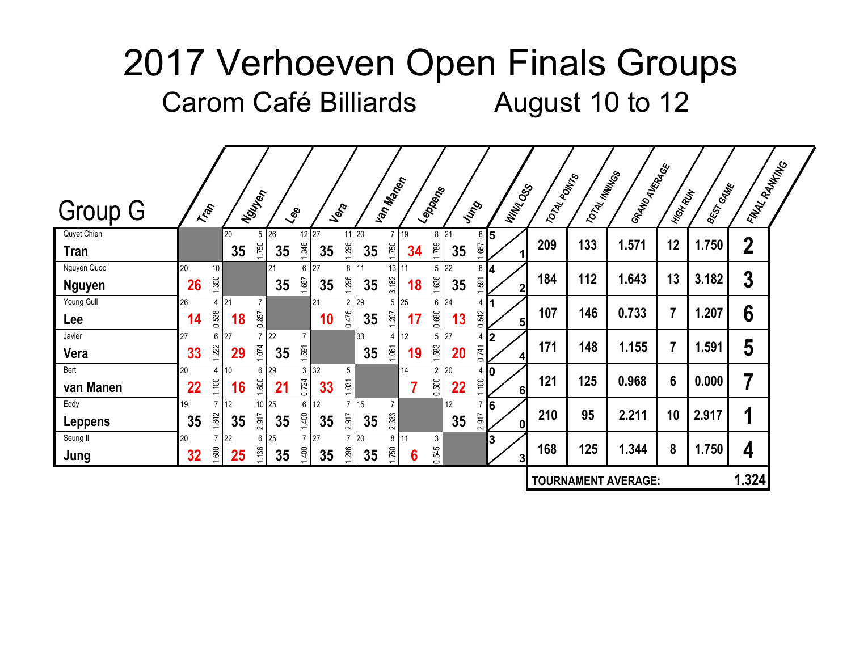|                              |                         |          |                            |                  |             |                               |          |                            |                         |                         |                         |                     |              |               | I GRAND<br>MANGANGE        |                |           | <b>LAVAL RANKING</b> |  |
|------------------------------|-------------------------|----------|----------------------------|------------------|-------------|-------------------------------|----------|----------------------------|-------------------------|-------------------------|-------------------------|---------------------|--------------|---------------|----------------------------|----------------|-----------|----------------------|--|
| <b>Group G</b>               | Trans                   |          | Nouver                     | $\zeta_{\rm ee}$ | Jefa        |                               |          | Van Mand                   | Leppens                 | Jung                    |                         | <b>WINTOOSS</b>     | TOTAL POINTS | TOTAL MINITOS |                            | HIGH RUN       | BEST CAME |                      |  |
| Quyet Chien<br><b>Tran</b>   |                         | 20<br>35 | $5 \overline{26}$<br>1.750 | 1.346<br>35      | 12 27<br>35 | $11$ 20<br>1.296              | 35       | 7 19<br>1.750              | 1.789<br>34             | $8 \overline{21}$<br>35 | 8<br>1.667              | 15                  | 209          | 133           | 1.571                      | 12             | 1.750     | $\boldsymbol{2}$     |  |
| Nguyen Quoc<br><b>Nguyen</b> | 20<br>10<br>1.300<br>26 |          | 21                         | 6<br>1.667<br>35 | 27<br>35    | 8 11<br>1.296                 | 35       | 13 11<br>3.182             | 5<br>1.636<br>18        | 22<br>35                | 8 <sup>1</sup><br>1.591 | 4<br>$\mathbf{2}$   | 184          | 112           | 1.643                      | 13             | 3.182     | $\boldsymbol{3}$     |  |
| Young Gull<br>Lee            | 26<br>4<br>0.538<br>14  | 21<br>18 | $\overline{7}$<br>0.857    |                  | 21<br>10    | 29<br>$\overline{2}$<br>0.476 | 35       | $5 \overline{25}$<br>1.207 | 6<br>0.680<br>17        | 24<br>13                | 4<br>0.542              | 5 <sup>1</sup>      | 107          | 146           | 0.733                      | 7              | 1.207     | $6\phantom{1}6$      |  |
| Javier<br>Vera               | 27<br>6<br>1.222<br>33  | 27<br>29 | $7 \overline{22}$<br>1.074 | 1.591<br>35      |             |                               | 33<br>35 | 12<br>4<br>1.061           | 5<br>1.583<br>19        | 27<br><b>20</b>         | 0.741                   | 12<br>4             | 171          | 148           | 1.155                      | $\overline{7}$ | 1.591     | 5                    |  |
| Bert<br>van Manen            | 20<br>4<br>1.100<br>22  | 10<br>16 | 6 29<br>1.600              | 3<br>0.724<br>21 | 32<br>33    | 5<br>1.031                    |          | 14                         | $\overline{2}$<br>0.500 | 20<br>22                | 410<br>1.100            | 6 <sup>1</sup>      | 121          | 125           | 0.968                      | 6              | 0.000     | 7                    |  |
| Eddy<br><b>Leppens</b>       | 19<br>1.842<br>35       | 12<br>35 | $10$ 25<br>2.917           | 6<br>1,400<br>35 | 12<br>35    | 2.917                         | 15<br>35 | $\overline{7}$<br>2.333    |                         | 12<br>35                | 2.917                   | 6<br>0              | 210          | 95            | 2.211                      | 10             | 2.917     | 1                    |  |
| Seung II<br>Jung             | 20<br>1.600<br>32       | 22<br>25 | 6 25<br>1,136              | 1,400<br>35      | 27<br>35    | 1.296                         | 20<br>35 | 11<br>8<br>1.750           | 3<br>0.545<br>6         |                         |                         | 3<br>3 <sup>l</sup> | 168          | 125           | 1.344                      | 8              | 1.750     | 4                    |  |
|                              |                         |          |                            |                  |             |                               |          |                            |                         |                         |                         |                     |              |               | <b>TOURNAMENT AVERAGE:</b> |                |           | 1.324                |  |